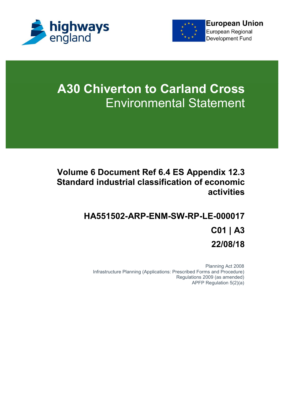

**European Union** 

European Regional **Development Fund** 



# **A30 Chiverton to Carland Cross** Environmental Statement

### **Volume 6 Document Ref 6.4 ES Appendix 12.3 Standard industrial classification of economic activities**

## **HA551502-ARP-ENM-SW-RP-LE-000017 C01 | A3 22/08/18**

Planning Act 2008 Infrastructure Planning (Applications: Prescribed Forms and Procedure) Regulations 2009 (as amended) APFP Regulation 5(2)(a)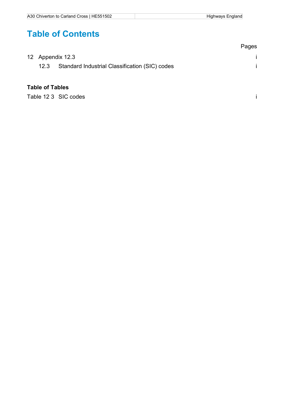### **Table of Contents**

|                        |                                                | Pages |
|------------------------|------------------------------------------------|-------|
| 12 Appendix 12.3       |                                                |       |
| 12.3                   | Standard Industrial Classification (SIC) codes |       |
| <b>Table of Tables</b> |                                                |       |
|                        | Table 12 3 SIC codes                           |       |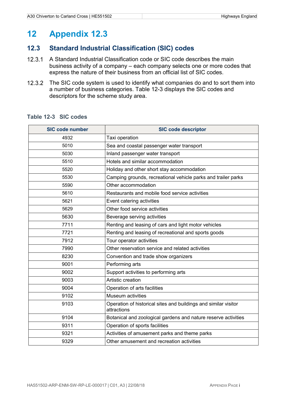#### **12 Appendix 12.3**

#### **12.3 Standard Industrial Classification (SIC) codes**

- A Standard Industrial Classification code or SIC code describes the main business activity of a company – each company selects one or more codes that express the nature of their business from an official list of SIC codes.
- 12.3.2 The SIC code system is used to identify what companies do and to sort them into a number of business categories. Table 12-3 displays the SIC codes and descriptors for the scheme study area.

| <b>SIC code number</b> | <b>SIC code descriptor</b>                                                     |
|------------------------|--------------------------------------------------------------------------------|
| 4932                   | Taxi operation                                                                 |
| 5010                   | Sea and coastal passenger water transport                                      |
| 5030                   | Inland passenger water transport                                               |
| 5510                   | Hotels and similar accommodation                                               |
| 5520                   | Holiday and other short stay accommodation                                     |
| 5530                   | Camping grounds, recreational vehicle parks and trailer parks                  |
| 5590                   | Other accommodation                                                            |
| 5610                   | Restaurants and mobile food service activities                                 |
| 5621                   | Event catering activities                                                      |
| 5629                   | Other food service activities                                                  |
| 5630                   | Beverage serving activities                                                    |
| 7711                   | Renting and leasing of cars and light motor vehicles                           |
| 7721                   | Renting and leasing of recreational and sports goods                           |
| 7912                   | Tour operator activities                                                       |
| 7990                   | Other reservation service and related activities                               |
| 8230                   | Convention and trade show organizers                                           |
| 9001                   | Performing arts                                                                |
| 9002                   | Support activities to performing arts                                          |
| 9003                   | Artistic creation                                                              |
| 9004                   | Operation of arts facilities                                                   |
| 9102                   | <b>Museum activities</b>                                                       |
| 9103                   | Operation of historical sites and buildings and similar visitor<br>attractions |
| 9104                   | Botanical and zoological gardens and nature reserve activities                 |
| 9311                   | Operation of sports facilities                                                 |
| 9321                   | Activities of amusement parks and theme parks                                  |
| 9329                   | Other amusement and recreation activities                                      |

#### **Table 12-3 SIC codes**